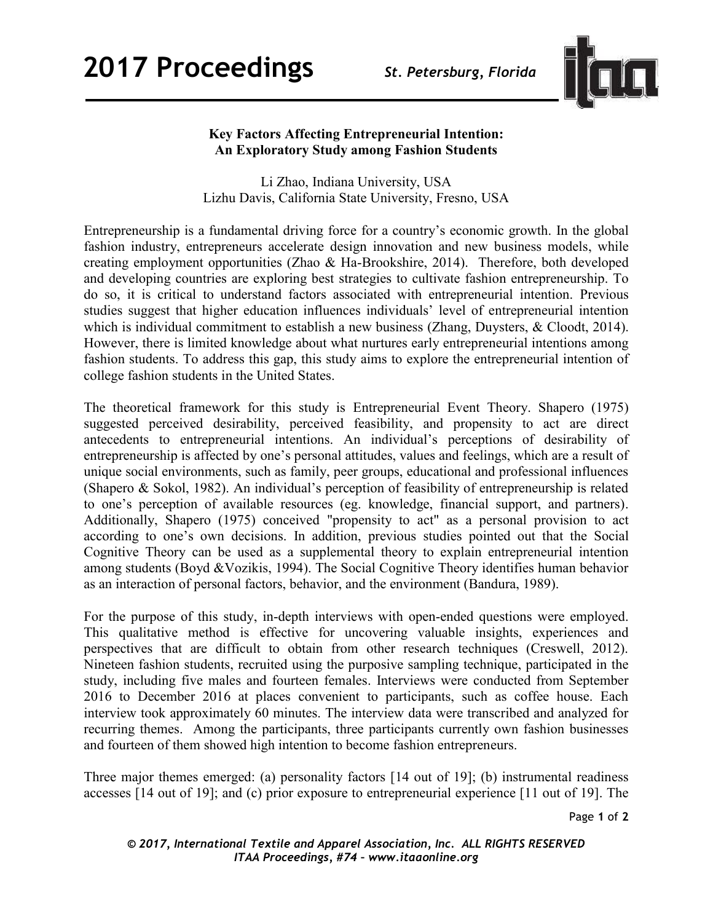

## **Key Factors Affecting Entrepreneurial Intention: An Exploratory Study among Fashion Students**

Li Zhao, Indiana University, USA Lizhu Davis, California State University, Fresno, USA

Entrepreneurship is a fundamental driving force for a country's economic growth. In the global fashion industry, entrepreneurs accelerate design innovation and new business models, while creating employment opportunities (Zhao & Ha-Brookshire, 2014). Therefore, both developed and developing countries are exploring best strategies to cultivate fashion entrepreneurship. To do so, it is critical to understand factors associated with entrepreneurial intention. Previous studies suggest that higher education influences individuals' level of entrepreneurial intention which is individual commitment to establish a new business (Zhang, Duysters, & Cloodt, 2014). However, there is limited knowledge about what nurtures early entrepreneurial intentions among fashion students. To address this gap, this study aims to explore the entrepreneurial intention of college fashion students in the United States.

The theoretical framework for this study is Entrepreneurial Event Theory. Shapero (1975) suggested perceived desirability, perceived feasibility, and propensity to act are direct antecedents to entrepreneurial intentions. An individual's perceptions of desirability of entrepreneurship is affected by one's personal attitudes, values and feelings, which are a result of unique social environments, such as family, peer groups, educational and professional influences (Shapero & Sokol, 1982). An individual's perception of feasibility of entrepreneurship is related to one's perception of available resources (eg. knowledge, financial support, and partners). Additionally, Shapero (1975) conceived "propensity to act" as a personal provision to act according to one's own decisions. In addition, previous studies pointed out that the Social Cognitive Theory can be used as a supplemental theory to explain entrepreneurial intention among students (Boyd &Vozikis, 1994). The Social Cognitive Theory identifies human behavior as an interaction of personal factors, behavior, and the environment (Bandura, 1989).

For the purpose of this study, in-depth interviews with open-ended questions were employed. This qualitative method is effective for uncovering valuable insights, experiences and perspectives that are difficult to obtain from other research techniques (Creswell, 2012). Nineteen fashion students, recruited using the purposive sampling technique, participated in the study, including five males and fourteen females. Interviews were conducted from September 2016 to December 2016 at places convenient to participants, such as coffee house. Each interview took approximately 60 minutes. The interview data were transcribed and analyzed for recurring themes. Among the participants, three participants currently own fashion businesses and fourteen of them showed high intention to become fashion entrepreneurs.

Three major themes emerged: (a) personality factors [14 out of 19]; (b) instrumental readiness accesses [14 out of 19]; and (c) prior exposure to entrepreneurial experience [11 out of 19]. The

Page **1** of **2**

*© 2017, International Textile and Apparel Association, Inc. ALL RIGHTS RESERVED ITAA Proceedings, #74 – www.itaaonline.org*